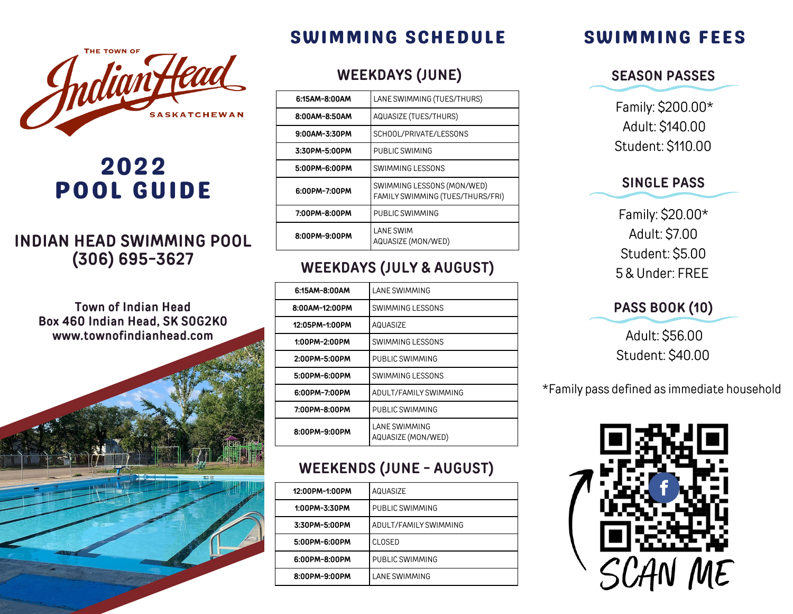## SWIMMING SCHEDULE



# 2022 POOL GUIDE

## **INDIAN HEAD SWIMMING POOL (306) 695-3627**

**Town of Indian Head Box 460 Indian Head, SK S0G2K0 www.townofindianhead.com**



#### **WEEKDAYS (JUNE)**

| 6:15AM-8:00AM | LANE SWIMMING (TUES/THURS)                                     |  |
|---------------|----------------------------------------------------------------|--|
| 8:00AM-8:50AM | AQUASIZE (TUES/THURS)                                          |  |
| 9:00AM-3:30PM | SCHOOL/PRIVATE/LESSONS                                         |  |
| 3:30PM-5:00PM | PUBLIC SWIMING                                                 |  |
| 5:00PM-6:00PM | SWIMMING LESSONS                                               |  |
| 6:00PM-7:00PM | SWIMMING LESSONS (MON/WED)<br>FAMILY SWIMMING (TUES/THURS/FRI) |  |
| 7:00PM-8:00PM | PUBLIC SWIMMING                                                |  |
| 8:00PM-9:00PM | <b>LANE SWIM</b><br>AQUASIZE (MON/WED)                         |  |

### **WEEKDAYS (JULY & AUGUST)**

| 6:15AM-8:00AM  | LANE SWIMMING                       |
|----------------|-------------------------------------|
| 8:00AM-12:00PM | SWIMMING LESSONS                    |
| 12:05PM-1:00PM | AQUASIZE                            |
| 1:00PM-2:00PM  | SWIMMING LESSONS                    |
| 2:00PM-5:00PM  | PUBLIC SWIMMING                     |
| 5:00PM-6:00PM  | SWIMMING LESSONS                    |
| 6:00PM-7:00PM  | ADULT/FAMILY SWIMMING               |
| 7:00PM-8:00PM  | PUBLIC SWIMMING                     |
| 8:00PM-9:00PM  | LANE SWIMMING<br>AQUASIZE (MON/WED) |

## **WEEKENDS (JUNE - AUGUST)**

| 12:00PM-1:00PM | AQUASIZE              |
|----------------|-----------------------|
| 1:00PM-3:30PM  | PUBLIC SWIMMING       |
| 3:30PM-5:00PM  | ADULT/FAMILY SWIMMING |
| 5:00PM-6:00PM  | <b>CLOSED</b>         |
| 6:00PM-8:00PM  | PUBLIC SWIMMING       |
| 8:00PM-9:00PM  | LANE SWIMMING         |
|                |                       |

## SWIMMING FEES

**SEASON PASSES**

Family: \$200.00\* Adult: \$140.00 Student: \$110.00

#### **SINGLE PASS**

Family: \$20.00\* Adult: \$7.00 Student: \$5.00 5 & Under: FREE

#### **PASS BOOK (10)**

Adult: \$56.00 Student: \$40.00

\*Family pass defined as immediate household